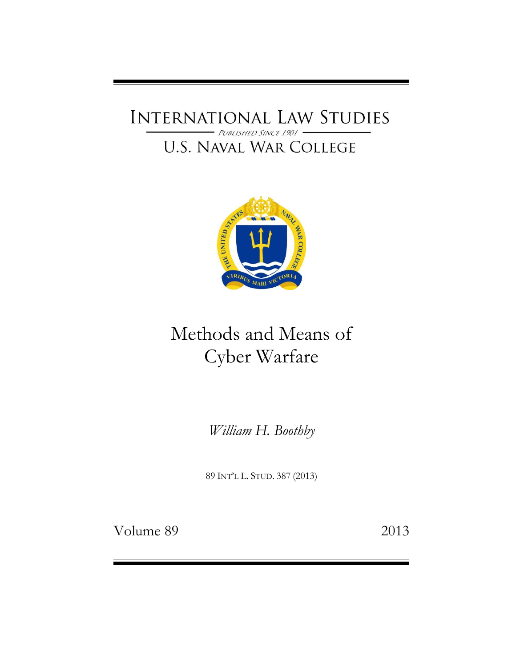### INTERNATIONAL LAW STUDIES PUBLISHED SINCE 1901

## **U.S. NAVAL WAR COLLEGE**



# Methods and Means of Cyber Warfare

*William H. Boothby*

89 INT'L L. STUD. 387 (2013)

Volume 89 2013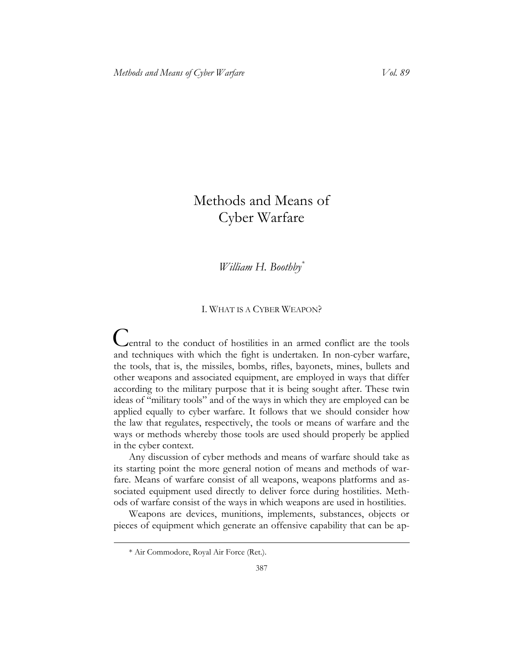## Methods and Means of Cyber Warfare

*William H. Boothby\**

#### I. WHAT IS A CYBER WEAPON?

C entral to the conduct of hostilities in an armed conflict are the tools and techniques with which the fight is undertaken. In non-cyber warfare, the tools, that is, the missiles, bombs, rifles, bayonets, mines, bullets and other weapons and associated equipment, are employed in ways that differ according to the military purpose that it is being sought after. These twin ideas of "military tools" and of the ways in which they are employed can be applied equally to cyber warfare. It follows that we should consider how the law that regulates, respectively, the tools or means of warfare and the ways or methods whereby those tools are used should properly be applied in the cyber context.

Any discussion of cyber methods and means of warfare should take as its starting point the more general notion of means and methods of warfare. Means of warfare consist of all weapons, weapons platforms and associated equipment used directly to deliver force during hostilities. Methods of warfare consist of the ways in which weapons are used in hostilities.

Weapons are devices, munitions, implements, substances, objects or pieces of equipment which generate an offensive capability that can be ap-

<sup>\*</sup> Air Commodore, Royal Air Force (Ret.).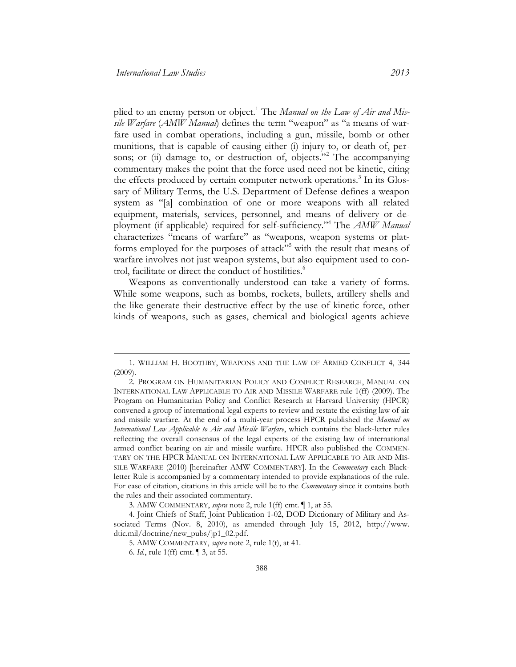plied to an enemy person or object.<sup>1</sup> The *Manual on the Law of Air and Missile Warfare* (*AMW Manual*) defines the term "weapon" as "a means of warfare used in combat operations, including a gun, missile, bomb or other munitions, that is capable of causing either (i) injury to, or death of, persons; or (ii) damage to, or destruction of, objects."<sup>2</sup> The accompanying commentary makes the point that the force used need not be kinetic, citing the effects produced by certain computer network operations.<sup>3</sup> In its Glossary of Military Terms, the U.S. Department of Defense defines a weapon system as "[a] combination of one or more weapons with all related equipment, materials, services, personnel, and means of delivery or deployment (if applicable) required for self-sufficiency."<sup>4</sup> The *AMW Manual* characterizes "means of warfare" as "weapons, weapon systems or platforms employed for the purposes of attack"<sup>55</sup> with the result that means of warfare involves not just weapon systems, but also equipment used to control, facilitate or direct the conduct of hostilities. 6

Weapons as conventionally understood can take a variety of forms. While some weapons, such as bombs, rockets, bullets, artillery shells and the like generate their destructive effect by the use of kinetic force, other kinds of weapons, such as gases, chemical and biological agents achieve

<sup>1.</sup> WILLIAM H. BOOTHBY, WEAPONS AND THE LAW OF ARMED CONFLICT 4, 344 (2009).

<sup>2.</sup> PROGRAM ON HUMANITARIAN POLICY AND CONFLICT RESEARCH, MANUAL ON INTERNATIONAL LAW APPLICABLE TO AIR AND MISSILE WARFARE rule 1(ff) (2009). The Program on Humanitarian Policy and Conflict Research at Harvard University (HPCR) convened a group of international legal experts to review and restate the existing law of air and missile warfare. At the end of a multi-year process HPCR published the *Manual on International Law Applicable to Air and Missile Warfare*, which contains the black-letter rules reflecting the overall consensus of the legal experts of the existing law of international armed conflict bearing on air and missile warfare. HPCR also published the COMMEN-TARY ON THE HPCR MANUAL ON INTERNATIONAL LAW APPLICABLE TO AIR AND MIS-SILE WARFARE (2010) [hereinafter AMW COMMENTARY]. In the *Commentary* each Blackletter Rule is accompanied by a commentary intended to provide explanations of the rule. For ease of citation, citations in this article will be to the *Commentary* since it contains both the rules and their associated commentary.

<sup>3.</sup> AMW COMMENTARY, *supra* note 2, rule 1(ff) cmt. ¶ 1, at 55.

<sup>4.</sup> Joint Chiefs of Staff, Joint Publication 1-02, DOD Dictionary of Military and Associated Terms (Nov. 8, 2010), as amended through July 15, 2012, http://www. dtic.mil/doctrine/new\_pubs/jp1\_02.pdf.

<sup>5.</sup> AMW COMMENTARY, *supra* note 2, rule 1(t), at 41.

<sup>6.</sup> *Id.*, rule 1(ff) cmt. ¶ 3, at 55.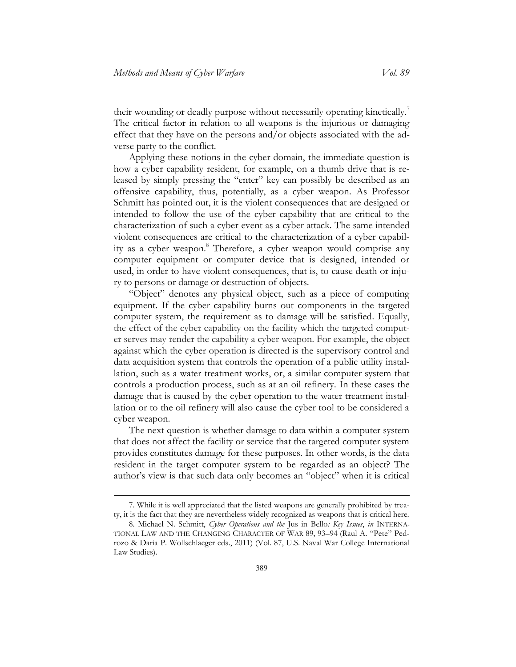their wounding or deadly purpose without necessarily operating kinetically.<sup>7</sup> The critical factor in relation to all weapons is the injurious or damaging effect that they have on the persons and/or objects associated with the adverse party to the conflict.

Applying these notions in the cyber domain, the immediate question is how a cyber capability resident, for example, on a thumb drive that is released by simply pressing the "enter" key can possibly be described as an offensive capability, thus, potentially, as a cyber weapon. As Professor Schmitt has pointed out, it is the violent consequences that are designed or intended to follow the use of the cyber capability that are critical to the characterization of such a cyber event as a cyber attack. The same intended violent consequences are critical to the characterization of a cyber capability as a cyber weapon.<sup>8</sup> Therefore, a cyber weapon would comprise any computer equipment or computer device that is designed, intended or used, in order to have violent consequences, that is, to cause death or injury to persons or damage or destruction of objects.

"Object" denotes any physical object, such as a piece of computing equipment. If the cyber capability burns out components in the targeted computer system, the requirement as to damage will be satisfied. Equally, the effect of the cyber capability on the facility which the targeted computer serves may render the capability a cyber weapon. For example, the object against which the cyber operation is directed is the supervisory control and data acquisition system that controls the operation of a public utility installation, such as a water treatment works, or, a similar computer system that controls a production process, such as at an oil refinery. In these cases the damage that is caused by the cyber operation to the water treatment installation or to the oil refinery will also cause the cyber tool to be considered a cyber weapon.

The next question is whether damage to data within a computer system that does not affect the facility or service that the targeted computer system provides constitutes damage for these purposes. In other words, is the data resident in the target computer system to be regarded as an object? The author's view is that such data only becomes an "object" when it is critical

<sup>7.</sup> While it is well appreciated that the listed weapons are generally prohibited by treaty, it is the fact that they are nevertheless widely recognized as weapons that is critical here.

<sup>8.</sup> Michael N. Schmitt, *Cyber Operations and the* Jus in Bello*: Key Issues*, *in* INTERNA-TIONAL LAW AND THE CHANGING CHARACTER OF WAR 89, 93–94 (Raul A. "Pete" Pedrozo & Daria P. Wollschlaeger eds., 2011) (Vol. 87, U.S. Naval War College International Law Studies).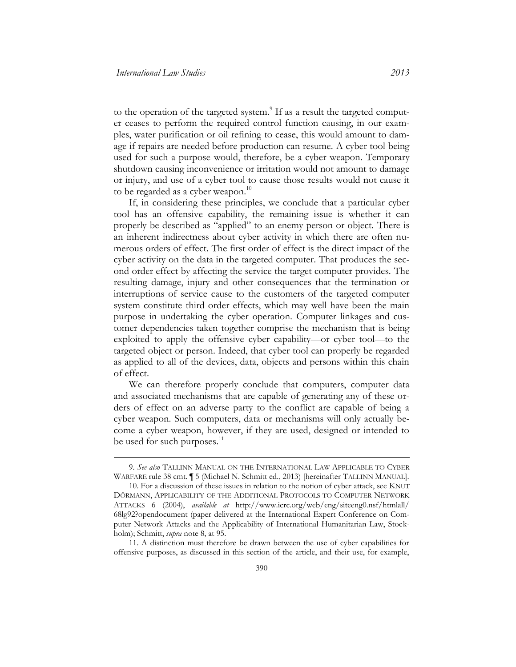to the operation of the targeted system.<sup>9</sup> If as a result the targeted computer ceases to perform the required control function causing, in our examples, water purification or oil refining to cease, this would amount to damage if repairs are needed before production can resume. A cyber tool being used for such a purpose would, therefore, be a cyber weapon. Temporary shutdown causing inconvenience or irritation would not amount to damage or injury, and use of a cyber tool to cause those results would not cause it to be regarded as a cyber weapon. $^{10}$ 

If, in considering these principles, we conclude that a particular cyber tool has an offensive capability, the remaining issue is whether it can properly be described as "applied" to an enemy person or object. There is an inherent indirectness about cyber activity in which there are often numerous orders of effect. The first order of effect is the direct impact of the cyber activity on the data in the targeted computer. That produces the second order effect by affecting the service the target computer provides. The resulting damage, injury and other consequences that the termination or interruptions of service cause to the customers of the targeted computer system constitute third order effects, which may well have been the main purpose in undertaking the cyber operation. Computer linkages and customer dependencies taken together comprise the mechanism that is being exploited to apply the offensive cyber capability—or cyber tool—to the targeted object or person. Indeed, that cyber tool can properly be regarded as applied to all of the devices, data, objects and persons within this chain of effect.

We can therefore properly conclude that computers, computer data and associated mechanisms that are capable of generating any of these orders of effect on an adverse party to the conflict are capable of being a cyber weapon. Such computers, data or mechanisms will only actually become a cyber weapon, however, if they are used, designed or intended to be used for such purposes.<sup>11</sup>

11. A distinction must therefore be drawn between the use of cyber capabilities for offensive purposes, as discussed in this section of the article, and their use, for example,

<sup>9.</sup> *See also* TALLINN MANUAL ON THE INTERNATIONAL LAW APPLICABLE TO CYBER WARFARE rule 38 cmt. ¶ 5 (Michael N. Schmitt ed., 2013) [hereinafter TALLINN MANUAL].

<sup>10.</sup> For a discussion of these issues in relation to the notion of cyber attack, see KNUT DÖRMANN, APPLICABILITY OF THE ADDITIONAL PROTOCOLS TO COMPUTER NETWORK ATTACKS 6 (2004), *available at* [http://www.icrc.org/web/eng/siteeng0.nsf/htmlall/](http://www.icrc.org/web/eng/siteeng0.nsf/htmlall/68lg92?opendocument)  [68lg92?opendocument](http://www.icrc.org/web/eng/siteeng0.nsf/htmlall/68lg92?opendocument) (paper delivered at the International Expert Conference on Computer Network Attacks and the Applicability of International Humanitarian Law, Stockholm); Schmitt, *supra* note 8, at 95.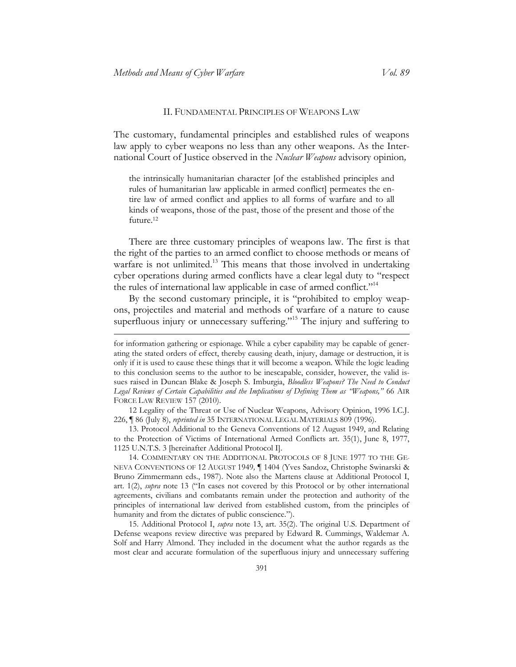#### II. FUNDAMENTAL PRINCIPLES OF WEAPONS LAW

The customary, fundamental principles and established rules of weapons law apply to cyber weapons no less than any other weapons. As the International Court of Justice observed in the *Nuclear Weapons* advisory opinion*,* 

the intrinsically humanitarian character [of the established principles and rules of humanitarian law applicable in armed conflict] permeates the entire law of armed conflict and applies to all forms of warfare and to all kinds of weapons, those of the past, those of the present and those of the future.<sup>12</sup>

There are three customary principles of weapons law. The first is that the right of the parties to an armed conflict to choose methods or means of warfare is not unlimited.<sup>13</sup> This means that those involved in undertaking cyber operations during armed conflicts have a clear legal duty to "respect the rules of international law applicable in case of armed conflict."<sup>14</sup>

By the second customary principle, it is "prohibited to employ weapons, projectiles and material and methods of warfare of a nature to cause superfluous injury or unnecessary suffering."<sup>15</sup> The injury and suffering to

12 Legality of the Threat or Use of Nuclear Weapons, Advisory Opinion, 1996 I.C.J. 226, ¶ 86 (July 8), *reprinted in* 35 INTERNATIONAL LEGAL MATERIALS 809 (1996).

13. Protocol Additional to the Geneva Conventions of 12 August 1949, and Relating to the Protection of Victims of International Armed Conflicts art. 35(1), June 8, 1977, 1125 U.N.T.S. 3 [hereinafter Additional Protocol I].

14. COMMENTARY ON THE ADDITIONAL PROTOCOLS OF 8 JUNE 1977 TO THE GE-NEVA CONVENTIONS OF 12 AUGUST 1949*,* ¶ 1404 (Yves Sandoz, Christophe Swinarski & Bruno Zimmermann eds., 1987). Note also the Martens clause at Additional Protocol I, art. 1(2), *supra* note 13 ("In cases not covered by this Protocol or by other international agreements, civilians and combatants remain under the protection and authority of the principles of international law derived from established custom, from the principles of humanity and from the dictates of public conscience.").

15. Additional Protocol I, *supra* note 13, art. 35(2). The original U.S. Department of Defense weapons review directive was prepared by Edward R. Cummings, Waldemar A. Solf and Harry Almond. They included in the document what the author regards as the most clear and accurate formulation of the superfluous injury and unnecessary suffering

for information gathering or espionage. While a cyber capability may be capable of generating the stated orders of effect, thereby causing death, injury, damage or destruction, it is only if it is used to cause these things that it will become a weapon. While the logic leading to this conclusion seems to the author to be inescapable, consider, however, the valid issues raised in Duncan Blake & Joseph S. Imburgia, *Bloodless Weapons? The Need to Conduct Legal Reviews of Certain Capabilities and the Implications of Defining Them as "Weapons,"* 66 AIR FORCE LAW REVIEW 157 (2010).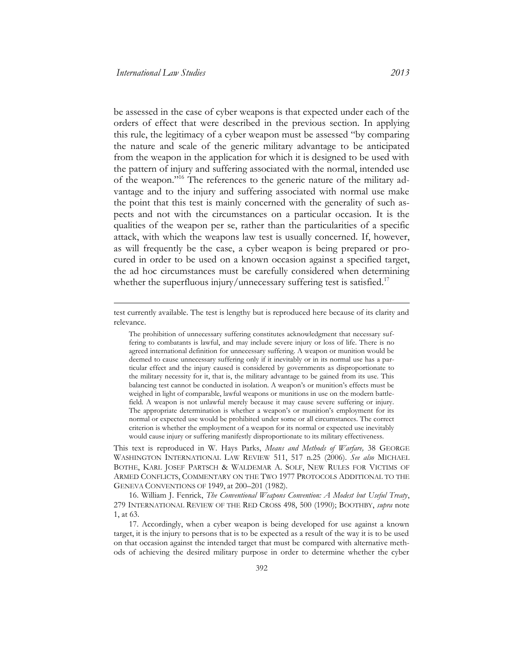be assessed in the case of cyber weapons is that expected under each of the orders of effect that were described in the previous section. In applying this rule, the legitimacy of a cyber weapon must be assessed "by comparing the nature and scale of the generic military advantage to be anticipated from the weapon in the application for which it is designed to be used with the pattern of injury and suffering associated with the normal, intended use of the weapon."<sup>16</sup> The references to the generic nature of the military advantage and to the injury and suffering associated with normal use make the point that this test is mainly concerned with the generality of such aspects and not with the circumstances on a particular occasion. It is the qualities of the weapon per se, rather than the particularities of a specific attack, with which the weapons law test is usually concerned. If, however, as will frequently be the case, a cyber weapon is being prepared or procured in order to be used on a known occasion against a specified target, the ad hoc circumstances must be carefully considered when determining whether the superfluous injury/unnecessary suffering test is satisfied.<sup>17</sup>

test currently available. The test is lengthy but is reproduced here because of its clarity and relevance.

The prohibition of unnecessary suffering constitutes acknowledgment that necessary suffering to combatants is lawful, and may include severe injury or loss of life. There is no agreed international definition for unnecessary suffering. A weapon or munition would be deemed to cause unnecessary suffering only if it inevitably or in its normal use has a particular effect and the injury caused is considered by governments as disproportionate to the military necessity for it, that is, the military advantage to be gained from its use. This balancing test cannot be conducted in isolation. A weapon's or munition's effects must be weighed in light of comparable, lawful weapons or munitions in use on the modern battlefield. A weapon is not unlawful merely because it may cause severe suffering or injury. The appropriate determination is whether a weapon's or munition's employment for its normal or expected use would be prohibited under some or all circumstances. The correct criterion is whether the employment of a weapon for its normal or expected use inevitably would cause injury or suffering manifestly disproportionate to its military effectiveness.

This text is reproduced in W. Hays Parks, *Means and Methods of Warfare,* 38 GEORGE WASHINGTON INTERNATIONAL LAW REVIEW 511, 517 n.25 (2006). *See also* MICHAEL BOTHE, KARL JOSEF PARTSCH & WALDEMAR A. SOLF, NEW RULES FOR VICTIMS OF ARMED CONFLICTS, COMMENTARY ON THE TWO 1977 PROTOCOLS ADDITIONAL TO THE GENEVA CONVENTIONS OF 1949, at 200–201 (1982).

16. William J. Fenrick, *The Conventional Weapons Convention: A Modest but Useful Treaty*, 279 INTERNATIONAL REVIEW OF THE RED CROSS 498, 500 (1990); BOOTHBY, *supra* note 1, at 63.

17. Accordingly, when a cyber weapon is being developed for use against a known target, it is the injury to persons that is to be expected as a result of the way it is to be used on that occasion against the intended target that must be compared with alternative methods of achieving the desired military purpose in order to determine whether the cyber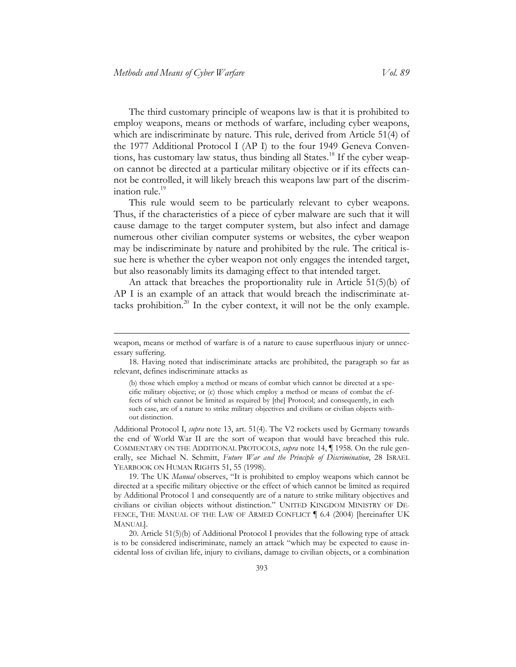The third customary principle of weapons law is that it is prohibited to employ weapons, means or methods of warfare, including cyber weapons, which are indiscriminate by nature. This rule, derived from Article 51(4) of the 1977 Additional Protocol I (AP I) to the four 1949 Geneva Conventions, has customary law status, thus binding all States.<sup>18</sup> If the cyber weapon cannot be directed at a particular military objective or if its effects cannot be controlled, it will likely breach this weapons law part of the discrimination rule.<sup>19</sup>

This rule would seem to be particularly relevant to cyber weapons. Thus, if the characteristics of a piece of cyber malware are such that it will cause damage to the target computer system, but also infect and damage numerous other civilian computer systems or websites, the cyber weapon may be indiscriminate by nature and prohibited by the rule. The critical issue here is whether the cyber weapon not only engages the intended target, but also reasonably limits its damaging effect to that intended target.

An attack that breaches the proportionality rule in Article 51(5)(b) of AP I is an example of an attack that would breach the indiscriminate attacks prohibition. $^{20}$  In the cyber context, it will not be the only example.

Additional Protocol I, *supra* note 13, art. 51(4). The V2 rockets used by Germany towards the end of World War II are the sort of weapon that would have breached this rule. COMMENTARY ON THE ADDITIONAL PROTOCOLS, *supra* note 14, ¶ 1958. On the rule generally, see Michael N. Schmitt, *Future War and the Principle of Discrimination*, 28 ISRAEL YEARBOOK ON HUMAN RIGHTS 51, 55 (1998).

19. The UK *Manual* observes, "It is prohibited to employ weapons which cannot be directed at a specific military objective or the effect of which cannot be limited as required by Additional Protocol 1 and consequently are of a nature to strike military objectives and civilians or civilian objects without distinction." UNITED KINGDOM MINISTRY OF DE-FENCE, THE MANUAL OF THE LAW OF ARMED CONFLICT | 6.4 (2004) [hereinafter UK MANUAL].

20. Article 51(5)(b) of Additional Protocol I provides that the following type of attack is to be considered indiscriminate, namely an attack "which may be expected to cause incidental loss of civilian life, injury to civilians, damage to civilian objects, or a combination

weapon, means or method of warfare is of a nature to cause superfluous injury or unnecessary suffering.

<sup>18.</sup> Having noted that indiscriminate attacks are prohibited, the paragraph so far as relevant, defines indiscriminate attacks as

<sup>(</sup>b) those which employ a method or means of combat which cannot be directed at a specific military objective; or (c) those which employ a method or means of combat the effects of which cannot be limited as required by [the] Protocol; and consequently, in each such case, are of a nature to strike military objectives and civilians or civilian objects without distinction.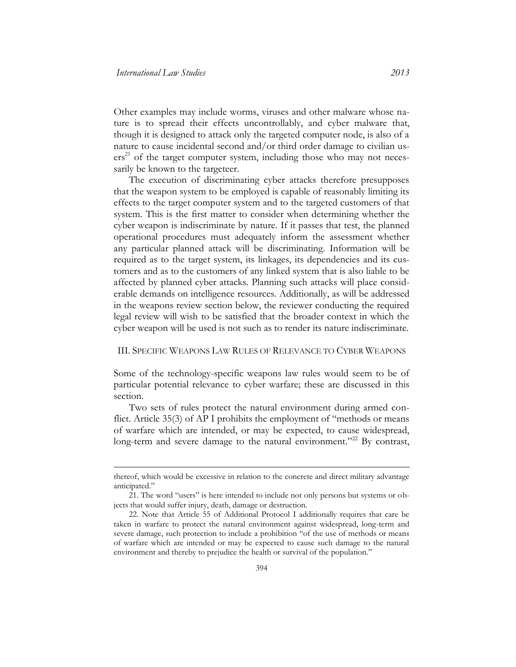Other examples may include worms, viruses and other malware whose nature is to spread their effects uncontrollably, and cyber malware that, though it is designed to attack only the targeted computer node, is also of a nature to cause incidental second and/or third order damage to civilian us $ers<sup>21</sup>$  of the target computer system, including those who may not necessarily be known to the targeteer.

The execution of discriminating cyber attacks therefore presupposes that the weapon system to be employed is capable of reasonably limiting its effects to the target computer system and to the targeted customers of that system. This is the first matter to consider when determining whether the cyber weapon is indiscriminate by nature. If it passes that test, the planned operational procedures must adequately inform the assessment whether any particular planned attack will be discriminating. Information will be required as to the target system, its linkages, its dependencies and its customers and as to the customers of any linked system that is also liable to be affected by planned cyber attacks. Planning such attacks will place considerable demands on intelligence resources. Additionally, as will be addressed in the weapons review section below, the reviewer conducting the required legal review will wish to be satisfied that the broader context in which the cyber weapon will be used is not such as to render its nature indiscriminate.

#### III. SPECIFIC WEAPONS LAW RULES OF RELEVANCE TO CYBER WEAPONS

Some of the technology-specific weapons law rules would seem to be of particular potential relevance to cyber warfare; these are discussed in this section.

Two sets of rules protect the natural environment during armed conflict. Article 35(3) of AP I prohibits the employment of "methods or means of warfare which are intended, or may be expected, to cause widespread, long-term and severe damage to the natural environment."<sup>22</sup> By contrast,

thereof, which would be excessive in relation to the concrete and direct military advantage anticipated."

<sup>21</sup>. The word "users" is here intended to include not only persons but systems or objects that would suffer injury, death, damage or destruction.

<sup>22.</sup> Note that Article 55 of Additional Protocol I additionally requires that care be taken in warfare to protect the natural environment against widespread, long-term and severe damage, such protection to include a prohibition "of the use of methods or means of warfare which are intended or may be expected to cause such damage to the natural environment and thereby to prejudice the health or survival of the population."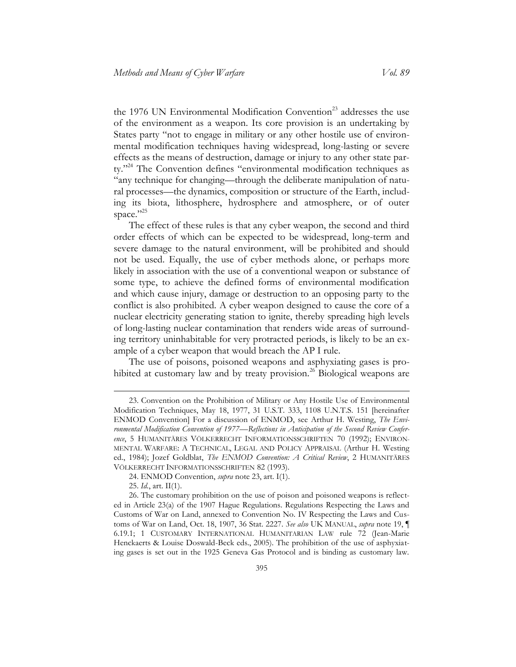the 1976 UN Environmental Modification Convention<sup>23</sup> addresses the use of the environment as a weapon. Its core provision is an undertaking by States party "not to engage in military or any other hostile use of environmental modification techniques having widespread, long-lasting or severe effects as the means of destruction, damage or injury to any other state party."<sup>24</sup> The Convention defines "environmental modification techniques as "any technique for changing—through the deliberate manipulation of natural processes—the dynamics, composition or structure of the Earth, including its biota, lithosphere, hydrosphere and atmosphere, or of outer space."25

The effect of these rules is that any cyber weapon, the second and third order effects of which can be expected to be widespread, long-term and severe damage to the natural environment, will be prohibited and should not be used. Equally, the use of cyber methods alone, or perhaps more likely in association with the use of a conventional weapon or substance of some type, to achieve the defined forms of environmental modification and which cause injury, damage or destruction to an opposing party to the conflict is also prohibited. A cyber weapon designed to cause the core of a nuclear electricity generating station to ignite, thereby spreading high levels of long-lasting nuclear contamination that renders wide areas of surrounding territory uninhabitable for very protracted periods, is likely to be an example of a cyber weapon that would breach the AP I rule.

The use of poisons, poisoned weapons and asphyxiating gases is prohibited at customary law and by treaty provision.<sup>26</sup> Biological weapons are

<sup>23.</sup> Convention on the Prohibition of Military or Any Hostile Use of Environmental Modification Techniques, May 18, 1977, 31 U.S.T. 333, 1108 U.N.T.S. 151 [hereinafter ENMOD Convention] For a discussion of ENMOD, see Arthur H. Westing, *The Environmental Modification Convention of 1977—Reflections in Anticipation of the Second Review Conference*, 5 HUMANITÄRES VÖLKERRECHT INFORMATIONSSCHRIFTEN 70 (1992); ENVIRON-MENTAL WARFARE: A TECHNICAL, LEGAL AND POLICY APPRAISAL (Arthur H. Westing ed., 1984); Jozef Goldblat, *The ENMOD Convention: A Critical Review*, 2 HUMANITÄRES VÖLKERRECHT INFORMATIONSSCHRIFTEN 82 (1993).

<sup>24.</sup> ENMOD Convention, *supra* note 23, art. I(1).

<sup>25.</sup> *Id.*, art. II(1).

<sup>26.</sup> The customary prohibition on the use of poison and poisoned weapons is reflected in Article 23(a) of the 1907 Hague Regulations. Regulations Respecting the Laws and Customs of War on Land, annexed to Convention No. IV Respecting the Laws and Customs of War on Land, Oct. 18, 1907, 36 Stat. 2227. *See also* UK MANUAL, *supra* note 19, ¶ 6.19.1; 1 CUSTOMARY INTERNATIONAL HUMANITARIAN LAW rule 72 (Jean-Marie Henckaerts & Louise Doswald-Beck eds., 2005). The prohibition of the use of asphyxiating gases is set out in the 1925 Geneva Gas Protocol and is binding as customary law.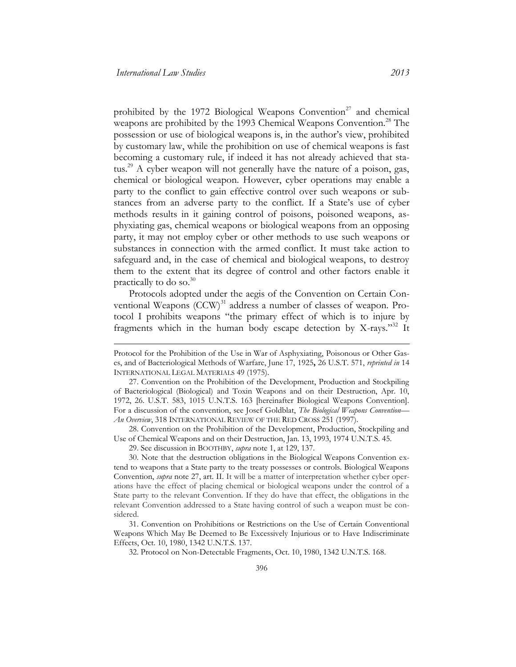prohibited by the 1972 Biological Weapons Convention<sup>27</sup> and chemical weapons are prohibited by the 1993 Chemical Weapons Convention.<sup>28</sup> The possession or use of biological weapons is, in the author's view, prohibited by customary law, while the prohibition on use of chemical weapons is fast becoming a customary rule, if indeed it has not already achieved that status.<sup>29</sup> A cyber weapon will not generally have the nature of a poison, gas, chemical or biological weapon. However, cyber operations may enable a party to the conflict to gain effective control over such weapons or substances from an adverse party to the conflict. If a State's use of cyber methods results in it gaining control of poisons, poisoned weapons, asphyxiating gas, chemical weapons or biological weapons from an opposing party, it may not employ cyber or other methods to use such weapons or substances in connection with the armed conflict. It must take action to safeguard and, in the case of chemical and biological weapons, to destroy them to the extent that its degree of control and other factors enable it practically to do so.<sup>30</sup>

Protocols adopted under the aegis of the Convention on Certain Conventional Weapons (CCW)<sup>31</sup> address a number of classes of weapon. Protocol I prohibits weapons "the primary effect of which is to injure by fragments which in the human body escape detection by X-rays."<sup>32</sup> It

28. Convention on the Prohibition of the Development, Production, Stockpiling and Use of Chemical Weapons and on their Destruction, Jan. 13, 1993, 1974 U.N.T.S. 45.

32. Protocol on Non-Detectable Fragments, Oct. 10, 1980, 1342 U.N.T.S. 168*.*

Protocol for the Prohibition of the Use in War of Asphyxiating, Poisonous or Other Gases, and of Bacteriological Methods of Warfare, June 17, 1925**,** 26 U.S.T. 571, *reprinted in* 14 INTERNATIONAL LEGAL MATERIALS 49 (1975).

<sup>27.</sup> Convention on the Prohibition of the Development, Production and Stockpiling of Bacteriological (Biological) and Toxin Weapons and on their Destruction, Apr. 10, 1972, 26. U.S.T. 583, 1015 U.N.T.S. 163 [hereinafter Biological Weapons Convention]. For a discussion of the convention, see Josef Goldblat, *The Biological Weapons Convention— An Overview*, 318 INTERNATIONAL REVIEW OF THE RED CROSS 251 (1997).

<sup>29.</sup> See discussion in BOOTHBY, *supra* note 1, at 129, 137.

<sup>30.</sup> Note that the destruction obligations in the Biological Weapons Convention extend to weapons that a State party to the treaty possesses or controls. Biological Weapons Convention, *supra* note 27, art. II. It will be a matter of interpretation whether cyber operations have the effect of placing chemical or biological weapons under the control of a State party to the relevant Convention. If they do have that effect, the obligations in the relevant Convention addressed to a State having control of such a weapon must be considered.

<sup>31.</sup> Convention on Prohibitions or Restrictions on the Use of Certain Conventional Weapons Which May Be Deemed to Be Excessively Injurious or to Have Indiscriminate Effects, Oct. 10, 1980, 1342 U.N.T.S. 137.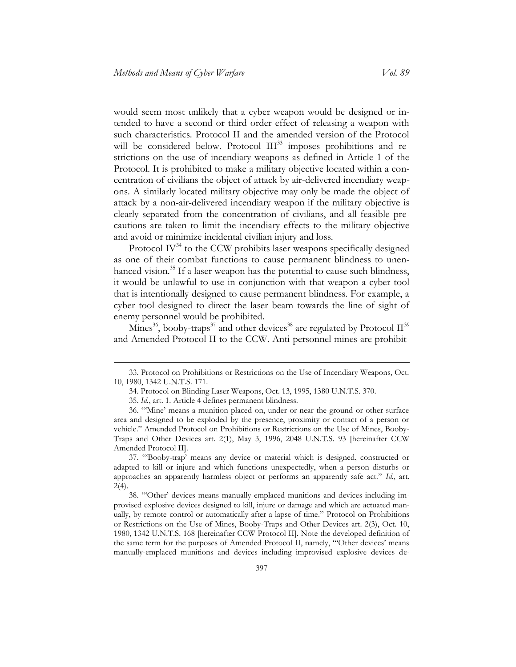would seem most unlikely that a cyber weapon would be designed or intended to have a second or third order effect of releasing a weapon with such characteristics. Protocol II and the amended version of the Protocol will be considered below. Protocol III<sup>33</sup> imposes prohibitions and restrictions on the use of incendiary weapons as defined in Article 1 of the Protocol. It is prohibited to make a military objective located within a concentration of civilians the object of attack by air-delivered incendiary weapons. A similarly located military objective may only be made the object of attack by a non-air-delivered incendiary weapon if the military objective is clearly separated from the concentration of civilians, and all feasible precautions are taken to limit the incendiary effects to the military objective and avoid or minimize incidental civilian injury and loss.

Protocol  $IV^{34}$  to the CCW prohibits laser weapons specifically designed as one of their combat functions to cause permanent blindness to unenhanced vision. $^{35}$  If a laser weapon has the potential to cause such blindness, it would be unlawful to use in conjunction with that weapon a cyber tool that is intentionally designed to cause permanent blindness. For example, a cyber tool designed to direct the laser beam towards the line of sight of enemy personnel would be prohibited.

Mines<sup>36</sup>, booby-traps<sup>37</sup> and other devices<sup>38</sup> are regulated by Protocol II<sup>39</sup> and Amended Protocol II to the CCW. Anti-personnel mines are prohibit-

<sup>33.</sup> Protocol on Prohibitions or Restrictions on the Use of Incendiary Weapons, Oct. 10, 1980, 1342 U.N.T.S. 171.

<sup>34.</sup> Protocol on Blinding Laser Weapons, Oct. 13, 1995, 1380 U.N.T.S. 370.

<sup>35.</sup> *Id.*, art. 1. Article 4 defines permanent blindness.

<sup>36</sup>. "'Mine' means a munition placed on, under or near the ground or other surface area and designed to be exploded by the presence, proximity or contact of a person or vehicle." Amended Protocol on Prohibitions or Restrictions on the Use of Mines, Booby-Traps and Other Devices art. 2(1), May 3, 1996, 2048 U.N.T.S. 93 [hereinafter CCW Amended Protocol II].

<sup>37</sup>. "'Booby-trap' means any device or material which is designed, constructed or adapted to kill or injure and which functions unexpectedly, when a person disturbs or approaches an apparently harmless object or performs an apparently safe act." *Id.*, art. 2(4).

<sup>38</sup>. "'Other' devices means manually emplaced munitions and devices including improvised explosive devices designed to kill, injure or damage and which are actuated manually, by remote control or automatically after a lapse of time." Protocol on Prohibitions or Restrictions on the Use of Mines, Booby-Traps and Other Devices art. 2(3), Oct. 10, 1980, 1342 U.N.T.S. 168 [hereinafter CCW Protocol II]. Note the developed definition of the same term for the purposes of Amended Protocol II, namely, "'Other devices' means manually-emplaced munitions and devices including improvised explosive devices de-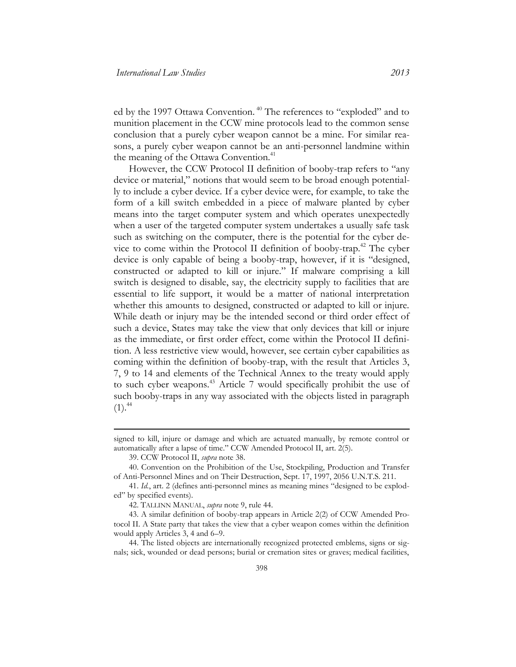ed by the 1997 Ottawa Convention.<sup>40</sup> The references to "exploded" and to munition placement in the CCW mine protocols lead to the common sense conclusion that a purely cyber weapon cannot be a mine. For similar reasons, a purely cyber weapon cannot be an anti-personnel landmine within the meaning of the Ottawa Convention.<sup>41</sup>

However, the CCW Protocol II definition of booby-trap refers to "any device or material," notions that would seem to be broad enough potentially to include a cyber device. If a cyber device were, for example, to take the form of a kill switch embedded in a piece of malware planted by cyber means into the target computer system and which operates unexpectedly when a user of the targeted computer system undertakes a usually safe task such as switching on the computer, there is the potential for the cyber device to come within the Protocol II definition of booby-trap.<sup>42</sup> The cyber device is only capable of being a booby-trap, however, if it is "designed, constructed or adapted to kill or injure." If malware comprising a kill switch is designed to disable, say, the electricity supply to facilities that are essential to life support, it would be a matter of national interpretation whether this amounts to designed, constructed or adapted to kill or injure. While death or injury may be the intended second or third order effect of such a device, States may take the view that only devices that kill or injure as the immediate, or first order effect, come within the Protocol II definition. A less restrictive view would, however, see certain cyber capabilities as coming within the definition of booby-trap, with the result that Articles 3, 7, 9 to 14 and elements of the Technical Annex to the treaty would apply to such cyber weapons.<sup>43</sup> Article 7 would specifically prohibit the use of such booby-traps in any way associated with the objects listed in paragraph  $(1).<sup>44</sup>$ 

signed to kill, injure or damage and which are actuated manually, by remote control or automatically after a lapse of time." CCW Amended Protocol II, art. 2(5).

<sup>39.</sup> CCW Protocol II, *supra* note 38.

<sup>40.</sup> Convention on the Prohibition of the Use, Stockpiling, Production and Transfer of Anti-Personnel Mines and on Their Destruction, Sept. 17, 1997, 2056 U.N.T.S. 211.

<sup>41.</sup> *Id.*, art. 2 (defines anti-personnel mines as meaning mines "designed to be exploded" by specified events).

<sup>42.</sup> TALLINN MANUAL, *supra* note 9, rule 44.

<sup>43.</sup> A similar definition of booby-trap appears in Article 2(2) of CCW Amended Protocol II. A State party that takes the view that a cyber weapon comes within the definition would apply Articles 3, 4 and 6–9.

<sup>44.</sup> The listed objects are internationally recognized protected emblems, signs or signals; sick, wounded or dead persons; burial or cremation sites or graves; medical facilities,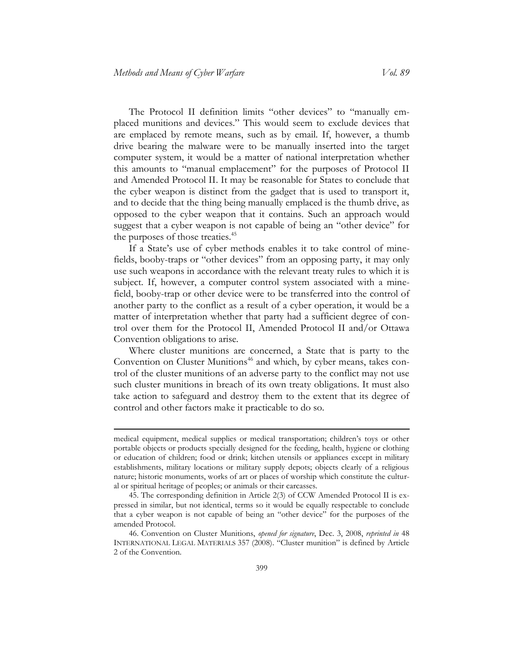The Protocol II definition limits "other devices" to "manually emplaced munitions and devices." This would seem to exclude devices that are emplaced by remote means, such as by email. If, however, a thumb drive bearing the malware were to be manually inserted into the target computer system, it would be a matter of national interpretation whether this amounts to "manual emplacement" for the purposes of Protocol II and Amended Protocol II. It may be reasonable for States to conclude that the cyber weapon is distinct from the gadget that is used to transport it, and to decide that the thing being manually emplaced is the thumb drive, as opposed to the cyber weapon that it contains. Such an approach would suggest that a cyber weapon is not capable of being an "other device" for the purposes of those treaties.<sup>45</sup>

If a State's use of cyber methods enables it to take control of minefields, booby-traps or "other devices" from an opposing party, it may only use such weapons in accordance with the relevant treaty rules to which it is subject. If, however, a computer control system associated with a minefield, booby-trap or other device were to be transferred into the control of another party to the conflict as a result of a cyber operation, it would be a matter of interpretation whether that party had a sufficient degree of control over them for the Protocol II, Amended Protocol II and/or Ottawa Convention obligations to arise.

Where cluster munitions are concerned, a State that is party to the Convention on Cluster Munitions<sup>46</sup> and which, by cyber means, takes control of the cluster munitions of an adverse party to the conflict may not use such cluster munitions in breach of its own treaty obligations. It must also take action to safeguard and destroy them to the extent that its degree of control and other factors make it practicable to do so.

medical equipment, medical supplies or medical transportation; children's toys or other portable objects or products specially designed for the feeding, health, hygiene or clothing or education of children; food or drink; kitchen utensils or appliances except in military establishments, military locations or military supply depots; objects clearly of a religious nature; historic monuments, works of art or places of worship which constitute the cultural or spiritual heritage of peoples; or animals or their carcasses.

<sup>45.</sup> The corresponding definition in Article 2(3) of CCW Amended Protocol II is expressed in similar, but not identical, terms so it would be equally respectable to conclude that a cyber weapon is not capable of being an "other device" for the purposes of the amended Protocol.

<sup>46.</sup> Convention on Cluster Munitions, *opened for signature*, Dec. 3, 2008, *reprinted in* 48 INTERNATIONAL LEGAL MATERIALS 357 (2008). "Cluster munition" is defined by Article 2 of the Convention.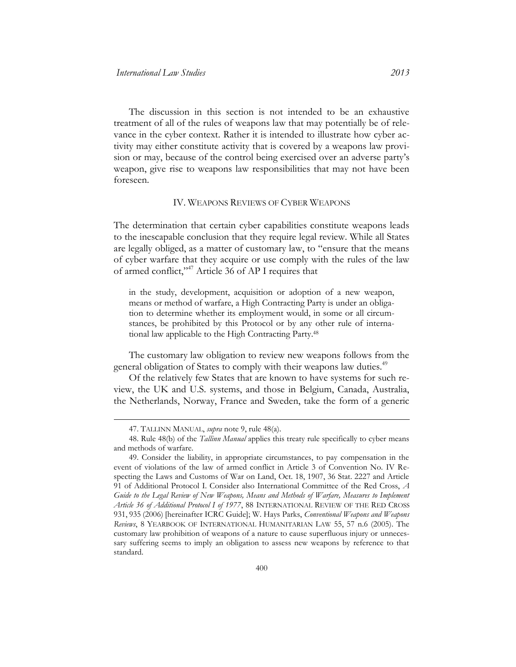The discussion in this section is not intended to be an exhaustive treatment of all of the rules of weapons law that may potentially be of relevance in the cyber context. Rather it is intended to illustrate how cyber activity may either constitute activity that is covered by a weapons law provision or may, because of the control being exercised over an adverse party's weapon, give rise to weapons law responsibilities that may not have been foreseen.

#### IV. WEAPONS REVIEWS OF CYBER WEAPONS

The determination that certain cyber capabilities constitute weapons leads to the inescapable conclusion that they require legal review. While all States are legally obliged, as a matter of customary law, to "ensure that the means of cyber warfare that they acquire or use comply with the rules of the law of armed conflict,"<sup>47</sup> Article 36 of AP I requires that

in the study, development, acquisition or adoption of a new weapon, means or method of warfare, a High Contracting Party is under an obligation to determine whether its employment would, in some or all circumstances, be prohibited by this Protocol or by any other rule of international law applicable to the High Contracting Party.<sup>48</sup>

The customary law obligation to review new weapons follows from the general obligation of States to comply with their weapons law duties.<sup>49</sup>

Of the relatively few States that are known to have systems for such review, the UK and U.S. systems, and those in Belgium, Canada, Australia, the Netherlands, Norway, France and Sweden, take the form of a generic

<sup>47.</sup> TALLINN MANUAL, *supra* note 9, rule 48(a).

<sup>48.</sup> Rule 48(b) of the *Tallinn Manual* applies this treaty rule specifically to cyber means and methods of warfare.

<sup>49.</sup> Consider the liability, in appropriate circumstances, to pay compensation in the event of violations of the law of armed conflict in Article 3 of Convention No. IV Respecting the Laws and Customs of War on Land, Oct. 18, 1907, 36 Stat. 2227 and Article 91 of Additional Protocol I. Consider also International Committee of the Red Cross, *A Guide to the Legal Review of New Weapons, Means and Methods of Warfare, Measures to Implement Article 36 of Additional Protocol I of 1977*, 88 INTERNATIONAL REVIEW OF THE RED CROSS 931, 935 (2006) [hereinafter ICRC Guide]; W. Hays Parks, *Conventional Weapons and Weapons Reviews*, 8 YEARBOOK OF INTERNATIONAL HUMANITARIAN LAW 55, 57 n.6 (2005). The customary law prohibition of weapons of a nature to cause superfluous injury or unnecessary suffering seems to imply an obligation to assess new weapons by reference to that standard.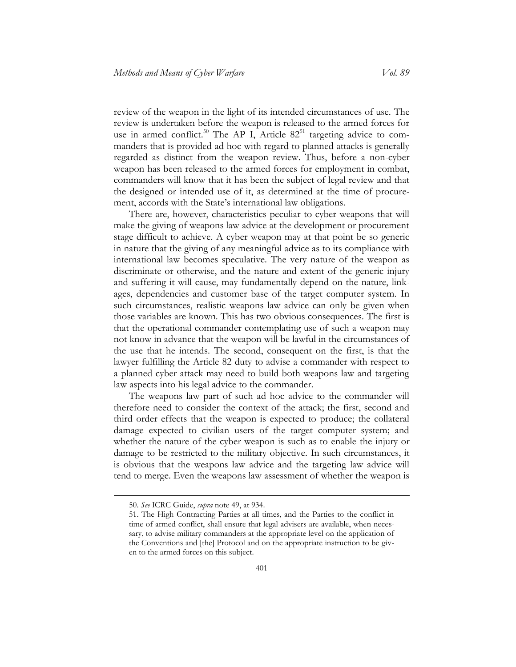review of the weapon in the light of its intended circumstances of use. The review is undertaken before the weapon is released to the armed forces for use in armed conflict.<sup>50</sup> The AP I, Article  $82^{51}$  targeting advice to commanders that is provided ad hoc with regard to planned attacks is generally regarded as distinct from the weapon review. Thus, before a non-cyber weapon has been released to the armed forces for employment in combat, commanders will know that it has been the subject of legal review and that the designed or intended use of it, as determined at the time of procurement, accords with the State's international law obligations.

There are, however, characteristics peculiar to cyber weapons that will make the giving of weapons law advice at the development or procurement stage difficult to achieve. A cyber weapon may at that point be so generic in nature that the giving of any meaningful advice as to its compliance with international law becomes speculative. The very nature of the weapon as discriminate or otherwise, and the nature and extent of the generic injury and suffering it will cause, may fundamentally depend on the nature, linkages, dependencies and customer base of the target computer system. In such circumstances, realistic weapons law advice can only be given when those variables are known. This has two obvious consequences. The first is that the operational commander contemplating use of such a weapon may not know in advance that the weapon will be lawful in the circumstances of the use that he intends. The second, consequent on the first, is that the lawyer fulfilling the Article 82 duty to advise a commander with respect to a planned cyber attack may need to build both weapons law and targeting law aspects into his legal advice to the commander.

The weapons law part of such ad hoc advice to the commander will therefore need to consider the context of the attack; the first, second and third order effects that the weapon is expected to produce; the collateral damage expected to civilian users of the target computer system; and whether the nature of the cyber weapon is such as to enable the injury or damage to be restricted to the military objective. In such circumstances, it is obvious that the weapons law advice and the targeting law advice will tend to merge. Even the weapons law assessment of whether the weapon is

<sup>50.</sup> *See* ICRC Guide, *supra* note 49, at 934.

<sup>51.</sup> The High Contracting Parties at all times, and the Parties to the conflict in time of armed conflict, shall ensure that legal advisers are available, when necessary, to advise military commanders at the appropriate level on the application of the Conventions and [the] Protocol and on the appropriate instruction to be given to the armed forces on this subject.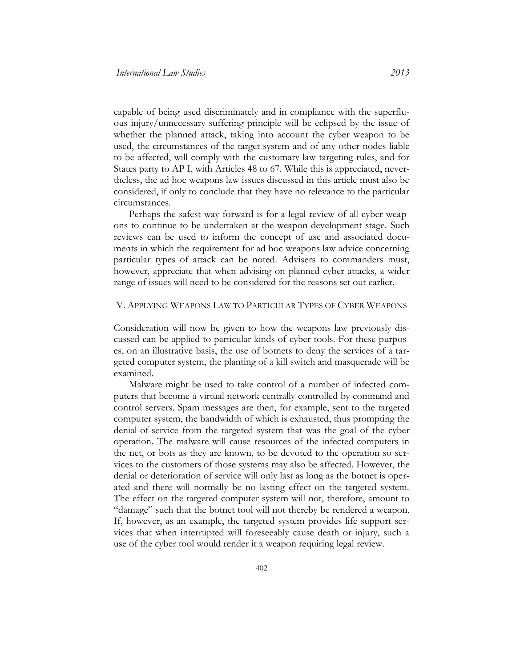capable of being used discriminately and in compliance with the superfluous injury/unnecessary suffering principle will be eclipsed by the issue of whether the planned attack, taking into account the cyber weapon to be used, the circumstances of the target system and of any other nodes liable to be affected, will comply with the customary law targeting rules, and for States party to AP I, with Articles 48 to 67. While this is appreciated, nevertheless, the ad hoc weapons law issues discussed in this article must also be considered, if only to conclude that they have no relevance to the particular circumstances.

Perhaps the safest way forward is for a legal review of all cyber weapons to continue to be undertaken at the weapon development stage. Such reviews can be used to inform the concept of use and associated documents in which the requirement for ad hoc weapons law advice concerning particular types of attack can be noted. Advisers to commanders must, however, appreciate that when advising on planned cyber attacks, a wider range of issues will need to be considered for the reasons set out earlier.

#### V. APPLYING WEAPONS LAW TO PARTICULAR TYPES OF CYBER WEAPONS

Consideration will now be given to how the weapons law previously discussed can be applied to particular kinds of cyber tools. For these purposes, on an illustrative basis, the use of botnets to deny the services of a targeted computer system, the planting of a kill switch and masquerade will be examined.

Malware might be used to take control of a number of infected computers that become a virtual network centrally controlled by command and control servers. Spam messages are then, for example, sent to the targeted computer system, the bandwidth of which is exhausted, thus prompting the denial-of-service from the targeted system that was the goal of the cyber operation. The malware will cause resources of the infected computers in the net, or bots as they are known, to be devoted to the operation so services to the customers of those systems may also be affected. However, the denial or deterioration of service will only last as long as the botnet is operated and there will normally be no lasting effect on the targeted system. The effect on the targeted computer system will not, therefore, amount to "damage" such that the botnet tool will not thereby be rendered a weapon. If, however, as an example, the targeted system provides life support services that when interrupted will foreseeably cause death or injury, such a use of the cyber tool would render it a weapon requiring legal review.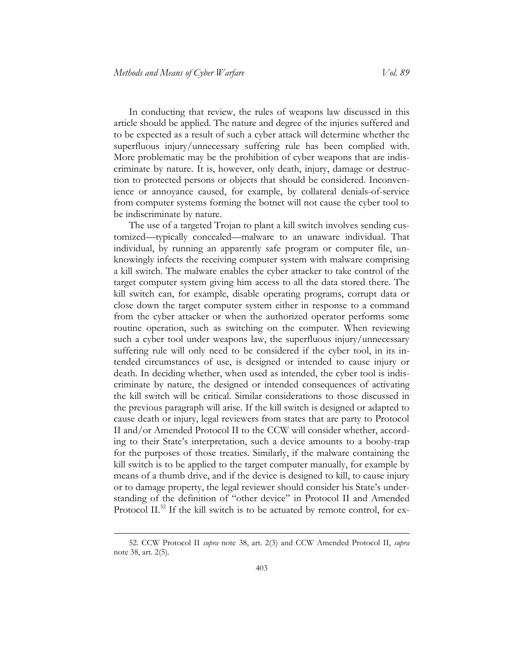In conducting that review, the rules of weapons law discussed in this article should be applied. The nature and degree of the injuries suffered and to be expected as a result of such a cyber attack will determine whether the superfluous injury/unnecessary suffering rule has been complied with. More problematic may be the prohibition of cyber weapons that are indiscriminate by nature. It is, however, only death, injury, damage or destruction to protected persons or objects that should be considered. Inconvenience or annoyance caused, for example, by collateral denials-of-service from computer systems forming the botnet will not cause the cyber tool to be indiscriminate by nature.

The use of a targeted Trojan to plant a kill switch involves sending customized—typically concealed—malware to an unaware individual. That individual, by running an apparently safe program or computer file, unknowingly infects the receiving computer system with malware comprising a kill switch. The malware enables the cyber attacker to take control of the target computer system giving him access to all the data stored there. The kill switch can, for example, disable operating programs, corrupt data or close down the target computer system either in response to a command from the cyber attacker or when the authorized operator performs some routine operation, such as switching on the computer. When reviewing such a cyber tool under weapons law, the superfluous injury/unnecessary suffering rule will only need to be considered if the cyber tool, in its intended circumstances of use, is designed or intended to cause injury or death. In deciding whether, when used as intended, the cyber tool is indiscriminate by nature, the designed or intended consequences of activating the kill switch will be critical. Similar considerations to those discussed in the previous paragraph will arise. If the kill switch is designed or adapted to cause death or injury, legal reviewers from states that are party to Protocol II and/or Amended Protocol II to the CCW will consider whether, according to their State's interpretation, such a device amounts to a booby-trap for the purposes of those treaties. Similarly, if the malware containing the kill switch is to be applied to the target computer manually, for example by means of a thumb drive, and if the device is designed to kill, to cause injury or to damage property, the legal reviewer should consider his State's understanding of the definition of "other device" in Protocol II and Amended Protocol II.<sup>52</sup> If the kill switch is to be actuated by remote control, for ex-

<sup>52.</sup> CCW Protocol II *supra* note 38, art. 2(3) and CCW Amended Protocol II, *supra*  note 38, art. 2(5)*.*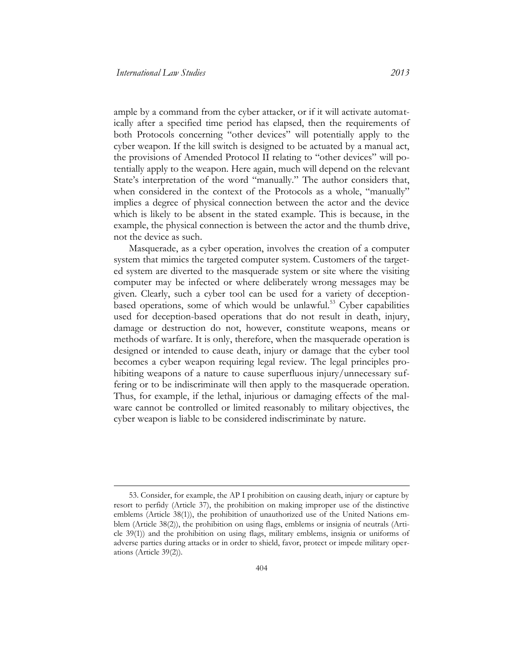ample by a command from the cyber attacker, or if it will activate automatically after a specified time period has elapsed, then the requirements of both Protocols concerning "other devices" will potentially apply to the cyber weapon. If the kill switch is designed to be actuated by a manual act, the provisions of Amended Protocol II relating to "other devices" will potentially apply to the weapon. Here again, much will depend on the relevant State's interpretation of the word "manually." The author considers that, when considered in the context of the Protocols as a whole, "manually" implies a degree of physical connection between the actor and the device which is likely to be absent in the stated example. This is because, in the example, the physical connection is between the actor and the thumb drive, not the device as such.

Masquerade, as a cyber operation, involves the creation of a computer system that mimics the targeted computer system. Customers of the targeted system are diverted to the masquerade system or site where the visiting computer may be infected or where deliberately wrong messages may be given. Clearly, such a cyber tool can be used for a variety of deceptionbased operations, some of which would be unlawful.<sup>53</sup> Cyber capabilities used for deception-based operations that do not result in death, injury, damage or destruction do not, however, constitute weapons, means or methods of warfare. It is only, therefore, when the masquerade operation is designed or intended to cause death, injury or damage that the cyber tool becomes a cyber weapon requiring legal review. The legal principles prohibiting weapons of a nature to cause superfluous injury/unnecessary suffering or to be indiscriminate will then apply to the masquerade operation. Thus, for example, if the lethal, injurious or damaging effects of the malware cannot be controlled or limited reasonably to military objectives, the cyber weapon is liable to be considered indiscriminate by nature.

<sup>53.</sup> Consider, for example, the AP I prohibition on causing death, injury or capture by resort to perfidy (Article 37), the prohibition on making improper use of the distinctive emblems (Article 38(1)), the prohibition of unauthorized use of the United Nations emblem (Article 38(2)), the prohibition on using flags, emblems or insignia of neutrals (Article 39(1)) and the prohibition on using flags, military emblems, insignia or uniforms of adverse parties during attacks or in order to shield, favor, protect or impede military operations (Article 39(2)).